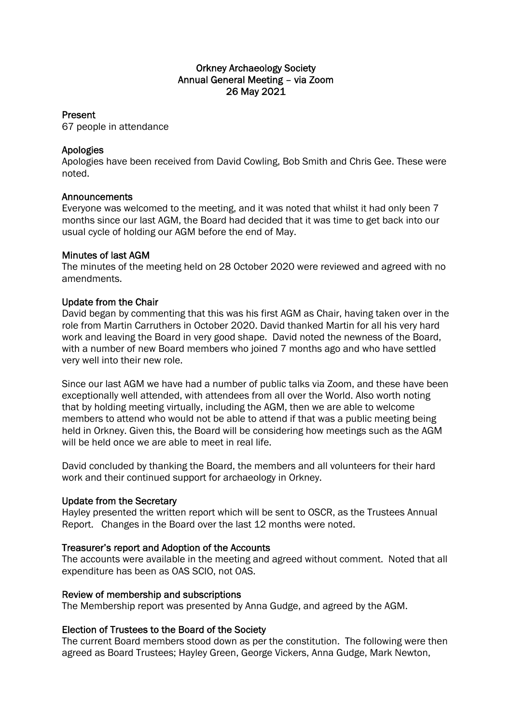# Orkney Archaeology Society Annual General Meeting – via Zoom 26 May 2021

## Present

67 people in attendance

# Apologies

Apologies have been received from David Cowling, Bob Smith and Chris Gee. These were noted.

### **Announcements**

Everyone was welcomed to the meeting, and it was noted that whilst it had only been 7 months since our last AGM, the Board had decided that it was time to get back into our usual cycle of holding our AGM before the end of May.

### Minutes of last AGM

The minutes of the meeting held on 28 October 2020 were reviewed and agreed with no amendments.

## Update from the Chair

David began by commenting that this was his first AGM as Chair, having taken over in the role from Martin Carruthers in October 2020. David thanked Martin for all his very hard work and leaving the Board in very good shape. David noted the newness of the Board, with a number of new Board members who joined 7 months ago and who have settled very well into their new role.

Since our last AGM we have had a number of public talks via Zoom, and these have been exceptionally well attended, with attendees from all over the World. Also worth noting that by holding meeting virtually, including the AGM, then we are able to welcome members to attend who would not be able to attend if that was a public meeting being held in Orkney. Given this, the Board will be considering how meetings such as the AGM will be held once we are able to meet in real life.

David concluded by thanking the Board, the members and all volunteers for their hard work and their continued support for archaeology in Orkney.

### Update from the Secretary

Hayley presented the written report which will be sent to OSCR, as the Trustees Annual Report. Changes in the Board over the last 12 months were noted.

# Treasurer's report and Adoption of the Accounts

The accounts were available in the meeting and agreed without comment. Noted that all expenditure has been as OAS SCIO, not OAS.

### Review of membership and subscriptions

The Membership report was presented by Anna Gudge, and agreed by the AGM.

# Election of Trustees to the Board of the Society

The current Board members stood down as per the constitution. The following were then agreed as Board Trustees; Hayley Green, George Vickers, Anna Gudge, Mark Newton,